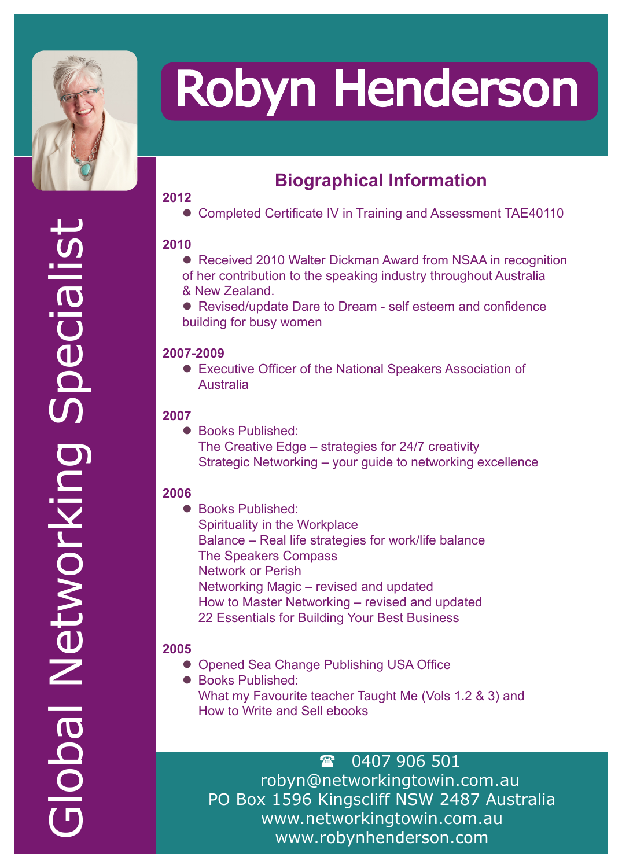

# Robyn Henderson

# **Biographical Information**

## **2012**

• Completed Certificate IV in Training and Assessment TAE40110

## **2010**

- Received 2010 Walter Dickman Award from NSAA in recognition of her contribution to the speaking industry throughout Australia & New Zealand.
- Revised/update Dare to Dream self esteem and confidence building for busy women

## **2007-2009**

• Executive Officer of the National Speakers Association of Australia

#### **2007**

● Books Published: The Creative Edge – strategies for 24/7 creativity Strategic Networking – your guide to networking excellence

#### **2006**

● Books Published: Spirituality in the Workplace Balance – Real life strategies for work/life balance The Speakers Compass Network or Perish Networking Magic – revised and updated How to Master Networking – revised and updated 22 Essentials for Building Your Best Business

## **2005**

- Opened Sea Change Publishing USA Office
- Books Published: What my Favourite teacher Taught Me (Vols 1.2 & 3) and How to Write and Sell ebooks

 0407 906 501 robyn@networkingtowin.com.au PO Box 1596 Kingscliff NSW 2487 Australia www.networkingtowin.com.au www.robynhenderson.com